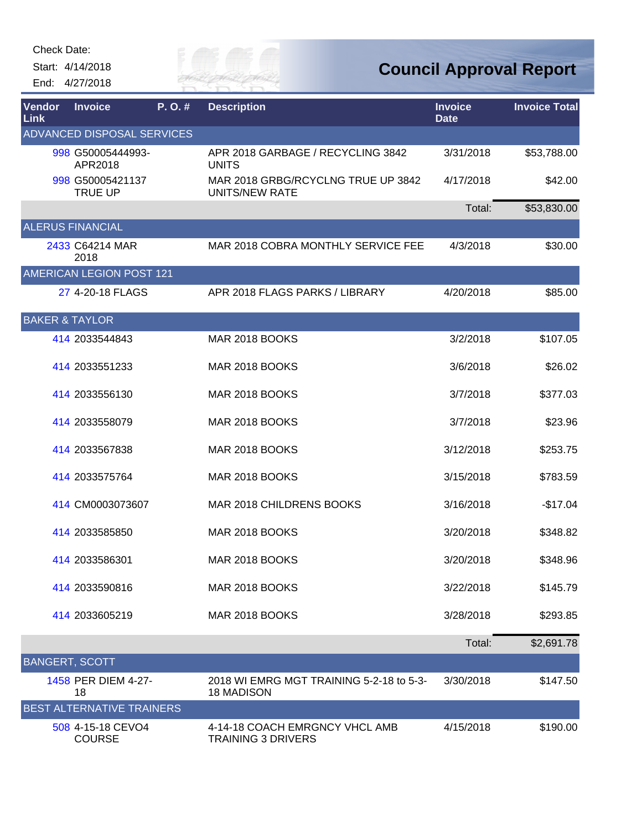Check Date:

Start: 4/14/2018 End: 4/27/2018



**Council Approval Report**

| <b>Vendor</b><br>Link     | <b>Invoice</b>                     | P.O.# | <b>Description</b>                                            | <b>Invoice</b><br><b>Date</b> | <b>Invoice Total</b> |
|---------------------------|------------------------------------|-------|---------------------------------------------------------------|-------------------------------|----------------------|
|                           | <b>ADVANCED DISPOSAL SERVICES</b>  |       |                                                               |                               |                      |
|                           | 998 G50005444993-<br>APR2018       |       | APR 2018 GARBAGE / RECYCLING 3842<br><b>UNITS</b>             | 3/31/2018                     | \$53,788.00          |
|                           | 998 G50005421137<br><b>TRUE UP</b> |       | MAR 2018 GRBG/RCYCLNG TRUE UP 3842<br><b>UNITS/NEW RATE</b>   | 4/17/2018                     | \$42.00              |
|                           |                                    |       |                                                               | Total:                        | \$53,830.00          |
|                           | <b>ALERUS FINANCIAL</b>            |       |                                                               |                               |                      |
|                           | 2433 C64214 MAR<br>2018            |       | MAR 2018 COBRA MONTHLY SERVICE FEE                            | 4/3/2018                      | \$30.00              |
|                           | <b>AMERICAN LEGION POST 121</b>    |       |                                                               |                               |                      |
|                           | 27 4-20-18 FLAGS                   |       | APR 2018 FLAGS PARKS / LIBRARY                                | 4/20/2018                     | \$85.00              |
| <b>BAKER &amp; TAYLOR</b> |                                    |       |                                                               |                               |                      |
|                           | 414 2033544843                     |       | <b>MAR 2018 BOOKS</b>                                         | 3/2/2018                      | \$107.05             |
|                           | 414 2033551233                     |       | MAR 2018 BOOKS                                                | 3/6/2018                      | \$26.02              |
|                           | 414 2033556130                     |       | MAR 2018 BOOKS                                                | 3/7/2018                      | \$377.03             |
|                           | 414 2033558079                     |       | MAR 2018 BOOKS                                                | 3/7/2018                      | \$23.96              |
|                           | 414 2033567838                     |       | <b>MAR 2018 BOOKS</b>                                         | 3/12/2018                     | \$253.75             |
|                           | 414 2033575764                     |       | MAR 2018 BOOKS                                                | 3/15/2018                     | \$783.59             |
|                           | 414 CM0003073607                   |       | MAR 2018 CHILDRENS BOOKS                                      | 3/16/2018                     | $-$17.04$            |
|                           | 414 2033585850                     |       | MAR 2018 BOOKS                                                | 3/20/2018                     | \$348.82             |
|                           | 414 2033586301                     |       | MAR 2018 BOOKS                                                | 3/20/2018                     | \$348.96             |
|                           | 414 2033590816                     |       | MAR 2018 BOOKS                                                | 3/22/2018                     | \$145.79             |
|                           | 414 2033605219                     |       | MAR 2018 BOOKS                                                | 3/28/2018                     | \$293.85             |
|                           |                                    |       |                                                               | Total:                        | \$2,691.78           |
| <b>BANGERT, SCOTT</b>     |                                    |       |                                                               |                               |                      |
|                           | 1458 PER DIEM 4-27-<br>18          |       | 2018 WI EMRG MGT TRAINING 5-2-18 to 5-3-<br><b>18 MADISON</b> | 3/30/2018                     | \$147.50             |
|                           | <b>BEST ALTERNATIVE TRAINERS</b>   |       |                                                               |                               |                      |
|                           | 508 4-15-18 CEVO4<br><b>COURSE</b> |       | 4-14-18 COACH EMRGNCY VHCL AMB<br><b>TRAINING 3 DRIVERS</b>   | 4/15/2018                     | \$190.00             |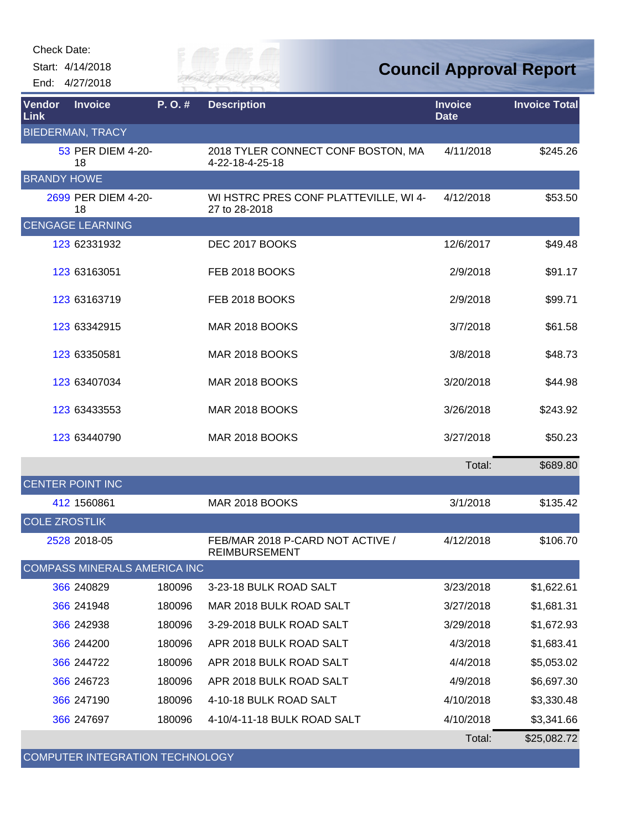Start: 4/14/2018 End: 4/27/2018 City of

**Council Approval Report**

| Vendor<br>Link       | <b>Invoice</b>                      | P.O.#  | <b>Description</b>                                       | <b>Invoice</b><br><b>Date</b> | <b>Invoice Total</b> |
|----------------------|-------------------------------------|--------|----------------------------------------------------------|-------------------------------|----------------------|
|                      | <b>BIEDERMAN, TRACY</b>             |        |                                                          |                               |                      |
|                      | 53 PER DIEM 4-20-<br>18             |        | 2018 TYLER CONNECT CONF BOSTON, MA<br>4-22-18-4-25-18    | 4/11/2018                     | \$245.26             |
| <b>BRANDY HOWE</b>   |                                     |        |                                                          |                               |                      |
|                      | 2699 PER DIEM 4-20-<br>18           |        | WI HSTRC PRES CONF PLATTEVILLE, WI 4-<br>27 to 28-2018   | 4/12/2018                     | \$53.50              |
|                      | <b>CENGAGE LEARNING</b>             |        |                                                          |                               |                      |
|                      | 123 62331932                        |        | DEC 2017 BOOKS                                           | 12/6/2017                     | \$49.48              |
|                      | 123 63163051                        |        | FEB 2018 BOOKS                                           | 2/9/2018                      | \$91.17              |
|                      | 123 63163719                        |        | FEB 2018 BOOKS                                           | 2/9/2018                      | \$99.71              |
|                      | 123 63342915                        |        | MAR 2018 BOOKS                                           | 3/7/2018                      | \$61.58              |
|                      | 123 63350581                        |        | <b>MAR 2018 BOOKS</b>                                    | 3/8/2018                      | \$48.73              |
|                      | 123 63407034                        |        | <b>MAR 2018 BOOKS</b>                                    | 3/20/2018                     | \$44.98              |
|                      | 123 63433553                        |        | MAR 2018 BOOKS                                           | 3/26/2018                     | \$243.92             |
|                      | 123 63440790                        |        | <b>MAR 2018 BOOKS</b>                                    | 3/27/2018                     | \$50.23              |
|                      |                                     |        |                                                          | Total:                        | \$689.80             |
|                      | <b>CENTER POINT INC</b>             |        |                                                          |                               |                      |
|                      | 412 1560861                         |        | MAR 2018 BOOKS                                           | 3/1/2018                      | \$135.42             |
| <b>COLE ZROSTLIK</b> |                                     |        |                                                          |                               |                      |
|                      | 2528 2018-05                        |        | FEB/MAR 2018 P-CARD NOT ACTIVE /<br><b>REIMBURSEMENT</b> | 4/12/2018                     | \$106.70             |
|                      | <b>COMPASS MINERALS AMERICA INC</b> |        |                                                          |                               |                      |
|                      | 366 240829                          | 180096 | 3-23-18 BULK ROAD SALT                                   | 3/23/2018                     | \$1,622.61           |
|                      | 366 241948                          | 180096 | MAR 2018 BULK ROAD SALT                                  | 3/27/2018                     | \$1,681.31           |
|                      | 366 242938                          | 180096 | 3-29-2018 BULK ROAD SALT                                 | 3/29/2018                     | \$1,672.93           |
|                      | 366 244200                          | 180096 | APR 2018 BULK ROAD SALT                                  | 4/3/2018                      | \$1,683.41           |
|                      | 366 244722                          | 180096 | APR 2018 BULK ROAD SALT                                  | 4/4/2018                      | \$5,053.02           |
|                      | 366 246723                          | 180096 | APR 2018 BULK ROAD SALT                                  | 4/9/2018                      | \$6,697.30           |
|                      | 366 247190                          | 180096 | 4-10-18 BULK ROAD SALT                                   | 4/10/2018                     | \$3,330.48           |
|                      | 366 247697                          | 180096 | 4-10/4-11-18 BULK ROAD SALT                              | 4/10/2018                     | \$3,341.66           |
|                      |                                     |        |                                                          | Total:                        | \$25,082.72          |

COMPUTER INTEGRATION TECHNOLOGY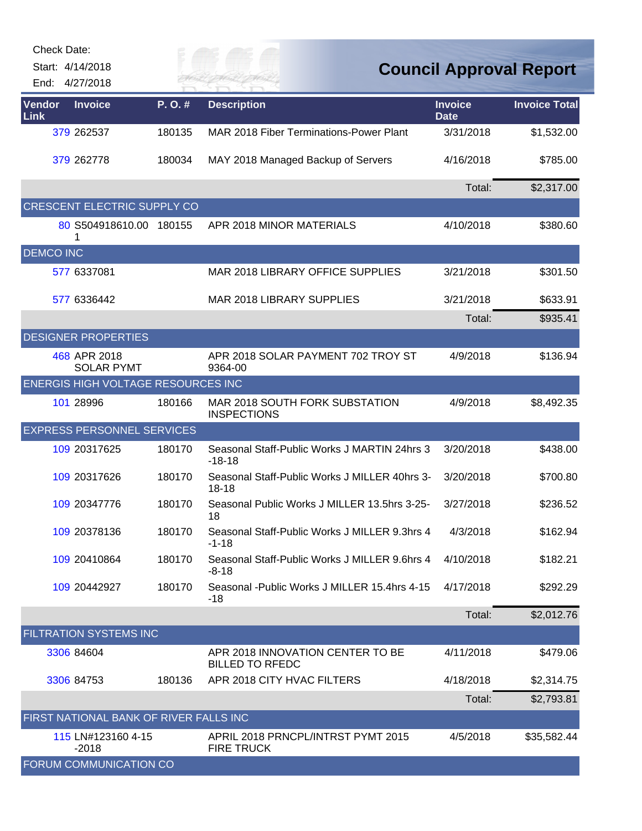| Check Date:      |                                           |           |                                                            |                               |                                |
|------------------|-------------------------------------------|-----------|------------------------------------------------------------|-------------------------------|--------------------------------|
| End:             | Start: 4/14/2018<br>4/27/2018             |           |                                                            |                               | <b>Council Approval Report</b> |
| Vendor<br>Link   | <b>Invoice</b>                            | $P. O.$ # | <b>Description</b>                                         | <b>Invoice</b><br><b>Date</b> | <b>Invoice Total</b>           |
|                  | 379 262537                                | 180135    | MAR 2018 Fiber Terminations-Power Plant                    | 3/31/2018                     | \$1,532.00                     |
|                  | 379 262778                                | 180034    | MAY 2018 Managed Backup of Servers                         | 4/16/2018                     | \$785.00                       |
|                  |                                           |           |                                                            | Total:                        | \$2,317.00                     |
|                  | CRESCENT ELECTRIC SUPPLY CO               |           |                                                            |                               |                                |
|                  | 80 S504918610.00 180155                   |           | APR 2018 MINOR MATERIALS                                   | 4/10/2018                     | \$380.60                       |
| <b>DEMCO INC</b> |                                           |           |                                                            |                               |                                |
|                  | 577 6337081                               |           | MAR 2018 LIBRARY OFFICE SUPPLIES                           | 3/21/2018                     | \$301.50                       |
|                  | 577 6336442                               |           | <b>MAR 2018 LIBRARY SUPPLIES</b>                           | 3/21/2018                     | \$633.91                       |
|                  |                                           |           |                                                            | Total:                        | \$935.41                       |
|                  | <b>DESIGNER PROPERTIES</b>                |           |                                                            |                               |                                |
|                  | 468 APR 2018<br><b>SOLAR PYMT</b>         |           | APR 2018 SOLAR PAYMENT 702 TROY ST<br>9364-00              | 4/9/2018                      | \$136.94                       |
|                  | <b>ENERGIS HIGH VOLTAGE RESOURCES INC</b> |           |                                                            |                               |                                |
|                  | 101 28996                                 | 180166    | MAR 2018 SOUTH FORK SUBSTATION<br><b>INSPECTIONS</b>       | 4/9/2018                      | \$8,492.35                     |
|                  | <b>EXPRESS PERSONNEL SERVICES</b>         |           |                                                            |                               |                                |
|                  | 109 20317625                              | 180170    | Seasonal Staff-Public Works J MARTIN 24hrs 3<br>$-18-18$   | 3/20/2018                     | \$438.00                       |
|                  | 109 20317626                              | 180170    | Seasonal Staff-Public Works J MILLER 40hrs 3-<br>$18 - 18$ | 3/20/2018                     | \$700.80                       |
|                  | 109 20347776                              | 180170    | Seasonal Public Works J MILLER 13.5hrs 3-25-<br>18         | 3/27/2018                     | \$236.52                       |
|                  | 109 20378136                              | 180170    | Seasonal Staff-Public Works J MILLER 9.3hrs 4<br>$-1 - 18$ | 4/3/2018                      | \$162.94                       |
|                  | 109 20410864                              | 180170    | Seasonal Staff-Public Works J MILLER 9.6hrs 4<br>$-8-18$   | 4/10/2018                     | \$182.21                       |
|                  | 109 20442927                              | 180170    | Seasonal - Public Works J MILLER 15.4hrs 4-15<br>-18       | 4/17/2018                     | \$292.29                       |
|                  |                                           |           |                                                            | Total:                        | \$2,012.76                     |
|                  | FILTRATION SYSTEMS INC                    |           |                                                            |                               |                                |
|                  | 3306 84604                                |           | APR 2018 INNOVATION CENTER TO BE<br><b>BILLED TO RFEDC</b> | 4/11/2018                     | \$479.06                       |
|                  | 3306 84753                                | 180136    | APR 2018 CITY HVAC FILTERS                                 | 4/18/2018                     | \$2,314.75                     |
|                  |                                           |           |                                                            | Total:                        | \$2,793.81                     |
|                  | FIRST NATIONAL BANK OF RIVER FALLS INC    |           |                                                            |                               |                                |
|                  | 115 LN#123160 4-15<br>$-2018$             |           | APRIL 2018 PRNCPL/INTRST PYMT 2015<br><b>FIRE TRUCK</b>    | 4/5/2018                      | \$35,582.44                    |
|                  | FORUM COMMUNICATION CO                    |           |                                                            |                               |                                |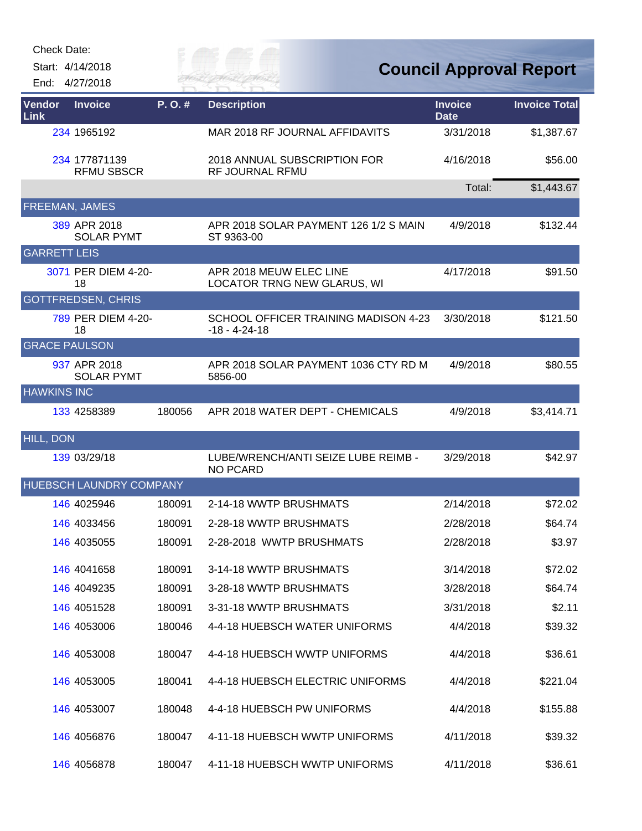| Check Date: |  |
|-------------|--|
|-------------|--|

Start: 4/14/2018 End: 4/27/2018 *Cuy of* 

## **Council Approval Report**

| Vendor<br>Link       | <b>Invoice</b>                     | P.O.#  | <b>Description</b>                                            | <b>Invoice</b><br><b>Date</b> | <b>Invoice Total</b> |
|----------------------|------------------------------------|--------|---------------------------------------------------------------|-------------------------------|----------------------|
|                      | 234 1965192                        |        | MAR 2018 RF JOURNAL AFFIDAVITS                                | 3/31/2018                     | \$1,387.67           |
|                      | 234 177871139<br><b>RFMU SBSCR</b> |        | 2018 ANNUAL SUBSCRIPTION FOR<br>RF JOURNAL RFMU               | 4/16/2018                     | \$56.00              |
|                      |                                    |        |                                                               | Total:                        | \$1,443.67           |
|                      | <b>FREEMAN, JAMES</b>              |        |                                                               |                               |                      |
|                      | 389 APR 2018<br><b>SOLAR PYMT</b>  |        | APR 2018 SOLAR PAYMENT 126 1/2 S MAIN<br>ST 9363-00           | 4/9/2018                      | \$132.44             |
| <b>GARRETT LEIS</b>  |                                    |        |                                                               |                               |                      |
|                      | 3071 PER DIEM 4-20-<br>18          |        | APR 2018 MEUW ELEC LINE<br><b>LOCATOR TRNG NEW GLARUS, WI</b> | 4/17/2018                     | \$91.50              |
|                      | <b>GOTTFREDSEN, CHRIS</b>          |        |                                                               |                               |                      |
|                      | 789 PER DIEM 4-20-<br>18           |        | SCHOOL OFFICER TRAINING MADISON 4-23<br>$-18 - 4 - 24 - 18$   | 3/30/2018                     | \$121.50             |
| <b>GRACE PAULSON</b> |                                    |        |                                                               |                               |                      |
|                      | 937 APR 2018<br><b>SOLAR PYMT</b>  |        | APR 2018 SOLAR PAYMENT 1036 CTY RD M<br>5856-00               | 4/9/2018                      | \$80.55              |
| <b>HAWKINS INC</b>   |                                    |        |                                                               |                               |                      |
|                      | 133 4258389                        | 180056 | APR 2018 WATER DEPT - CHEMICALS                               | 4/9/2018                      | \$3,414.71           |
| <b>HILL, DON</b>     |                                    |        |                                                               |                               |                      |
|                      | 139 03/29/18                       |        | LUBE/WRENCH/ANTI SEIZE LUBE REIMB -<br><b>NO PCARD</b>        | 3/29/2018                     | \$42.97              |
|                      | <b>HUEBSCH LAUNDRY COMPANY</b>     |        |                                                               |                               |                      |
|                      | 146 4025946                        | 180091 | 2-14-18 WWTP BRUSHMATS                                        | 2/14/2018                     | \$72.02              |
|                      | 146 4033456                        | 180091 | 2-28-18 WWTP BRUSHMATS                                        | 2/28/2018                     | \$64.74              |
|                      | 146 4035055                        | 180091 | 2-28-2018 WWTP BRUSHMATS                                      | 2/28/2018                     | \$3.97               |
|                      | 146 4041658                        | 180091 | 3-14-18 WWTP BRUSHMATS                                        | 3/14/2018                     | \$72.02              |
|                      | 146 4049235                        | 180091 | 3-28-18 WWTP BRUSHMATS                                        | 3/28/2018                     | \$64.74              |
|                      | 146 4051528                        | 180091 | 3-31-18 WWTP BRUSHMATS                                        | 3/31/2018                     | \$2.11               |
|                      | 146 4053006                        | 180046 | 4-4-18 HUEBSCH WATER UNIFORMS                                 | 4/4/2018                      | \$39.32              |
|                      | 146 4053008                        | 180047 | 4-4-18 HUEBSCH WWTP UNIFORMS                                  | 4/4/2018                      | \$36.61              |
|                      | 146 4053005                        | 180041 | 4-4-18 HUEBSCH ELECTRIC UNIFORMS                              | 4/4/2018                      | \$221.04             |
|                      | 146 4053007                        | 180048 | 4-4-18 HUEBSCH PW UNIFORMS                                    | 4/4/2018                      | \$155.88             |
|                      | 146 4056876                        | 180047 | 4-11-18 HUEBSCH WWTP UNIFORMS                                 | 4/11/2018                     | \$39.32              |
|                      | 146 4056878                        | 180047 | 4-11-18 HUEBSCH WWTP UNIFORMS                                 | 4/11/2018                     | \$36.61              |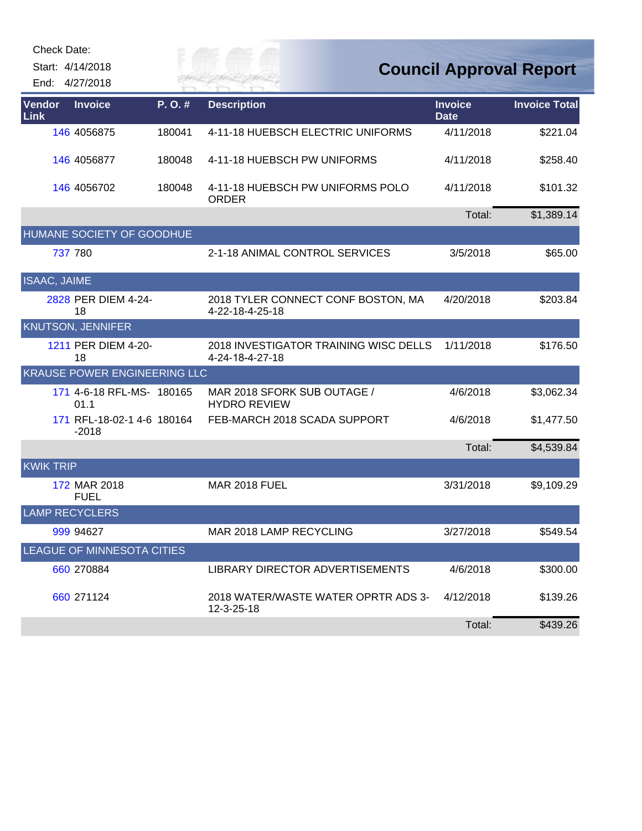|                  | Check Date:                           |        |                                                          |                               |                                |
|------------------|---------------------------------------|--------|----------------------------------------------------------|-------------------------------|--------------------------------|
|                  | Start: 4/14/2018                      |        | e ev p                                                   |                               | <b>Council Approval Report</b> |
|                  | End: 4/27/2018                        |        | <b>ERFAI</b>                                             |                               |                                |
| Vendor<br>Link   | <b>Invoice</b>                        | P.O.#  | <b>Description</b>                                       | <b>Invoice</b><br><b>Date</b> | <b>Invoice Total</b>           |
|                  | 146 4056875                           | 180041 | 4-11-18 HUEBSCH ELECTRIC UNIFORMS                        | 4/11/2018                     | \$221.04                       |
|                  | 146 4056877                           | 180048 | 4-11-18 HUEBSCH PW UNIFORMS                              | 4/11/2018                     | \$258.40                       |
|                  | 146 4056702                           | 180048 | 4-11-18 HUEBSCH PW UNIFORMS POLO<br><b>ORDER</b>         | 4/11/2018                     | \$101.32                       |
|                  |                                       |        |                                                          | Total:                        | \$1,389.14                     |
|                  | HUMANE SOCIETY OF GOODHUE             |        |                                                          |                               |                                |
|                  | 737 780                               |        | 2-1-18 ANIMAL CONTROL SERVICES                           | 3/5/2018                      | \$65.00                        |
| ISAAC, JAIME     |                                       |        |                                                          |                               |                                |
|                  | 2828 PER DIEM 4-24-<br>18             |        | 2018 TYLER CONNECT CONF BOSTON, MA<br>4-22-18-4-25-18    | 4/20/2018                     | \$203.84                       |
|                  | <b>KNUTSON, JENNIFER</b>              |        |                                                          |                               |                                |
|                  | 1211 PER DIEM 4-20-<br>18             |        | 2018 INVESTIGATOR TRAINING WISC DELLS<br>4-24-18-4-27-18 | 1/11/2018                     | \$176.50                       |
|                  | <b>KRAUSE POWER ENGINEERING LLC</b>   |        |                                                          |                               |                                |
|                  | 171 4-6-18 RFL-MS- 180165<br>01.1     |        | MAR 2018 SFORK SUB OUTAGE /<br><b>HYDRO REVIEW</b>       | 4/6/2018                      | \$3,062.34                     |
|                  | 171 RFL-18-02-1 4-6 180164<br>$-2018$ |        | FEB-MARCH 2018 SCADA SUPPORT                             | 4/6/2018                      | \$1,477.50                     |
|                  |                                       |        |                                                          | Total:                        | \$4,539.84                     |
| <b>KWIK TRIP</b> |                                       |        |                                                          |                               |                                |
|                  | 172 MAR 2018<br><b>FUEL</b>           |        | <b>MAR 2018 FUEL</b>                                     | 3/31/2018                     | \$9,109.29                     |
|                  | <b>LAMP RECYCLERS</b>                 |        |                                                          |                               |                                |
|                  | 999 94627                             |        | MAR 2018 LAMP RECYCLING                                  | 3/27/2018                     | \$549.54                       |
|                  | <b>LEAGUE OF MINNESOTA CITIES</b>     |        |                                                          |                               |                                |
|                  | 660 270884                            |        | LIBRARY DIRECTOR ADVERTISEMENTS                          | 4/6/2018                      | \$300.00                       |
|                  | 660 271124                            |        | 2018 WATER/WASTE WATER OPRTR ADS 3-<br>12-3-25-18        | 4/12/2018                     | \$139.26                       |
|                  |                                       |        |                                                          | Total:                        | \$439.26                       |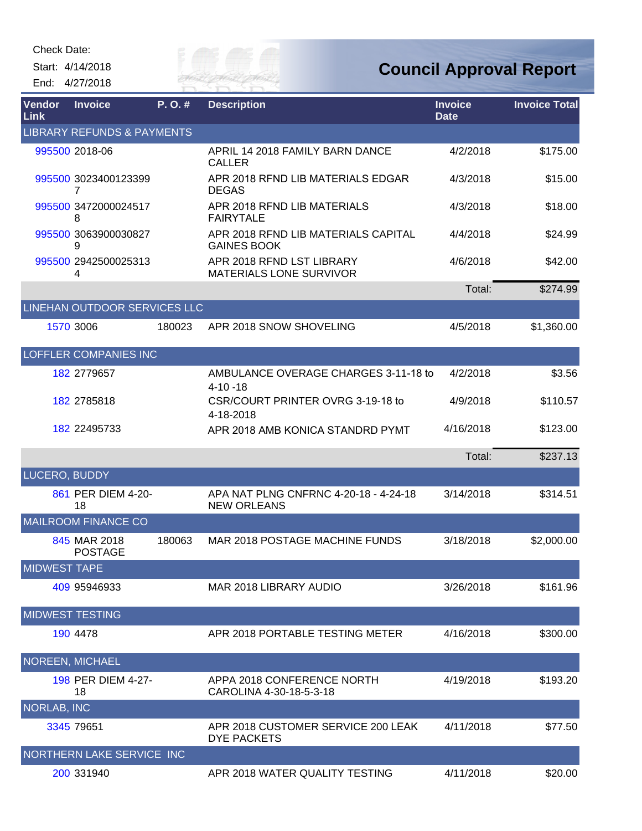Check Date:

Start: 4/14/2018 End: 4/27/2018



## **Council Approval Report**

| Vendor<br>Link      | <b>Invoice</b>                        | P.O.#  | <b>Description</b>                                          | <b>Invoice</b><br><b>Date</b> | <b>Invoice Total</b> |
|---------------------|---------------------------------------|--------|-------------------------------------------------------------|-------------------------------|----------------------|
|                     | <b>LIBRARY REFUNDS &amp; PAYMENTS</b> |        |                                                             |                               |                      |
|                     | 995500 2018-06                        |        | APRIL 14 2018 FAMILY BARN DANCE<br>CALLER                   | 4/2/2018                      | \$175.00             |
|                     | 995500 3023400123399<br>7             |        | APR 2018 RFND LIB MATERIALS EDGAR<br><b>DEGAS</b>           | 4/3/2018                      | \$15.00              |
|                     | 995500 3472000024517<br>8             |        | APR 2018 RFND LIB MATERIALS<br><b>FAIRYTALE</b>             | 4/3/2018                      | \$18.00              |
|                     | 995500 3063900030827<br>9             |        | APR 2018 RFND LIB MATERIALS CAPITAL<br><b>GAINES BOOK</b>   | 4/4/2018                      | \$24.99              |
|                     | 995500 2942500025313<br>4             |        | APR 2018 RFND LST LIBRARY<br><b>MATERIALS LONE SURVIVOR</b> | 4/6/2018                      | \$42.00              |
|                     |                                       |        |                                                             | Total:                        | \$274.99             |
|                     | LINEHAN OUTDOOR SERVICES LLC          |        |                                                             |                               |                      |
|                     | 1570 3006                             | 180023 | APR 2018 SNOW SHOVELING                                     | 4/5/2018                      | \$1,360.00           |
|                     | <b>LOFFLER COMPANIES INC</b>          |        |                                                             |                               |                      |
|                     | 182 2779657                           |        | AMBULANCE OVERAGE CHARGES 3-11-18 to<br>$4 - 10 - 18$       | 4/2/2018                      | \$3.56               |
|                     | 182 2785818                           |        | CSR/COURT PRINTER OVRG 3-19-18 to<br>4-18-2018              | 4/9/2018                      | \$110.57             |
|                     | 182 22495733                          |        | APR 2018 AMB KONICA STANDRD PYMT                            | 4/16/2018                     | \$123.00             |
|                     |                                       |        |                                                             | Total:                        | \$237.13             |
| LUCERO, BUDDY       |                                       |        |                                                             |                               |                      |
|                     | 861 PER DIEM 4-20-<br>18              |        | APA NAT PLNG CNFRNC 4-20-18 - 4-24-18<br><b>NEW ORLEANS</b> | 3/14/2018                     | \$314.51             |
|                     | <b>MAILROOM FINANCE CO</b>            |        |                                                             |                               |                      |
|                     | 845 MAR 2018<br><b>POSTAGE</b>        | 180063 | MAR 2018 POSTAGE MACHINE FUNDS                              | 3/18/2018                     | \$2,000.00           |
| <b>MIDWEST TAPE</b> |                                       |        |                                                             |                               |                      |
|                     | 409 95946933                          |        | MAR 2018 LIBRARY AUDIO                                      | 3/26/2018                     | \$161.96             |
|                     | <b>MIDWEST TESTING</b>                |        |                                                             |                               |                      |
|                     | 190 4478                              |        | APR 2018 PORTABLE TESTING METER                             | 4/16/2018                     | \$300.00             |
|                     | <b>NOREEN, MICHAEL</b>                |        |                                                             |                               |                      |
|                     | 198 PER DIEM 4-27-<br>18              |        | APPA 2018 CONFERENCE NORTH<br>CAROLINA 4-30-18-5-3-18       | 4/19/2018                     | \$193.20             |
| <b>NORLAB, INC</b>  |                                       |        |                                                             |                               |                      |
|                     | 3345 79651                            |        | APR 2018 CUSTOMER SERVICE 200 LEAK<br><b>DYE PACKETS</b>    | 4/11/2018                     | \$77.50              |
|                     | NORTHERN LAKE SERVICE INC             |        |                                                             |                               |                      |
|                     | 200 331940                            |        | APR 2018 WATER QUALITY TESTING                              | 4/11/2018                     | \$20.00              |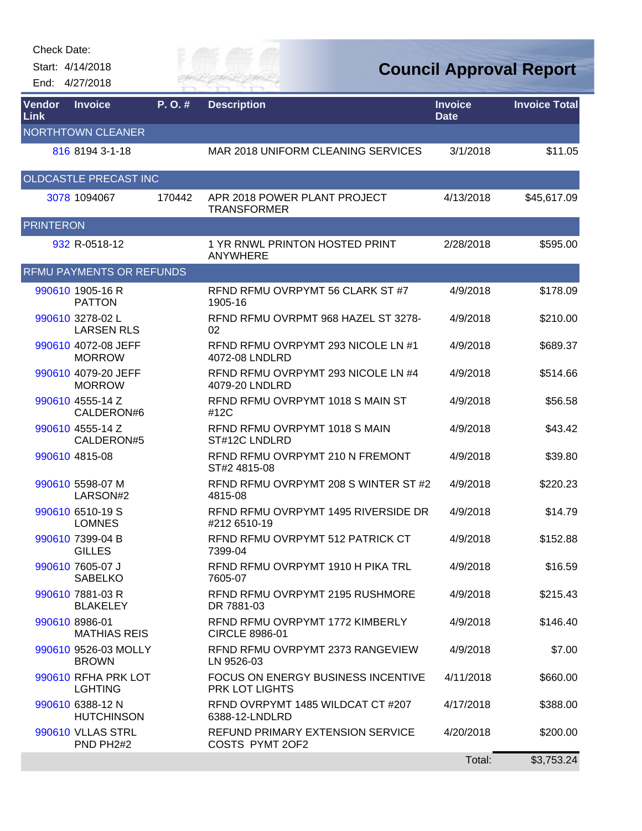Check Date:

Start: 4/14/2018 End: 4/27/2018



**Council Approval Report**

| Vendor<br>Link   | <b>Invoice</b>                              | P.O.#  | <b>Description</b>                                       | <b>Invoice</b><br><b>Date</b> | <b>Invoice Total</b> |
|------------------|---------------------------------------------|--------|----------------------------------------------------------|-------------------------------|----------------------|
|                  | <b>NORTHTOWN CLEANER</b>                    |        |                                                          |                               |                      |
|                  | 816 8194 3-1-18                             |        | MAR 2018 UNIFORM CLEANING SERVICES                       | 3/1/2018                      | \$11.05              |
|                  | OLDCASTLE PRECAST INC                       |        |                                                          |                               |                      |
|                  | 3078 1094067                                | 170442 | APR 2018 POWER PLANT PROJECT<br><b>TRANSFORMER</b>       | 4/13/2018                     | \$45,617.09          |
| <b>PRINTERON</b> |                                             |        |                                                          |                               |                      |
|                  | 932 R-0518-12                               |        | 1 YR RNWL PRINTON HOSTED PRINT<br>ANYWHERE               | 2/28/2018                     | \$595.00             |
|                  | <b>RFMU PAYMENTS OR REFUNDS</b>             |        |                                                          |                               |                      |
|                  | 990610 1905-16 R<br><b>PATTON</b>           |        | RFND RFMU OVRPYMT 56 CLARK ST #7<br>1905-16              | 4/9/2018                      | \$178.09             |
|                  | 990610 3278-02 L<br><b>LARSEN RLS</b>       |        | RFND RFMU OVRPMT 968 HAZEL ST 3278-<br>02                | 4/9/2018                      | \$210.00             |
|                  | 990610 4072-08 JEFF<br><b>MORROW</b>        |        | RFND RFMU OVRPYMT 293 NICOLE LN #1<br>4072-08 LNDLRD     | 4/9/2018                      | \$689.37             |
|                  | 990610 4079-20 JEFF<br><b>MORROW</b>        |        | RFND RFMU OVRPYMT 293 NICOLE LN #4<br>4079-20 LNDLRD     | 4/9/2018                      | \$514.66             |
|                  | 990610 4555-14 Z<br>CALDERON#6              |        | RFND RFMU OVRPYMT 1018 S MAIN ST<br>#12C                 | 4/9/2018                      | \$56.58              |
|                  | 990610 4555-14 Z<br>CALDERON#5              |        | RFND RFMU OVRPYMT 1018 S MAIN<br>ST#12C LNDLRD           | 4/9/2018                      | \$43.42              |
|                  | 990610 4815-08                              |        | RFND RFMU OVRPYMT 210 N FREMONT<br>ST#2 4815-08          | 4/9/2018                      | \$39.80              |
|                  | 990610 5598-07 M<br>LARSON#2                |        | RFND RFMU OVRPYMT 208 S WINTER ST #2<br>4815-08          | 4/9/2018                      | \$220.23             |
|                  | 990610 6510-19 S<br><b>LOMNES</b>           |        | RFND RFMU OVRPYMT 1495 RIVERSIDE DR<br>#212 6510-19      | 4/9/2018                      | \$14.79              |
|                  | 990610 7399-04 B<br><b>GILLES</b>           |        | RFND RFMU OVRPYMT 512 PATRICK CT<br>7399-04              | 4/9/2018                      | \$152.88             |
|                  | 990610 7605-07 J<br><b>SABELKO</b>          |        | RFND RFMU OVRPYMT 1910 H PIKA TRL<br>7605-07             | 4/9/2018                      | \$16.59              |
|                  | 990610 7881-03 R<br><b>BLAKELEY</b>         |        | RFND RFMU OVRPYMT 2195 RUSHMORE<br>DR 7881-03            | 4/9/2018                      | \$215.43             |
|                  | 990610 8986-01<br><b>MATHIAS REIS</b>       |        | RFND RFMU OVRPYMT 1772 KIMBERLY<br><b>CIRCLE 8986-01</b> | 4/9/2018                      | \$146.40             |
|                  | 990610 9526-03 MOLLY<br><b>BROWN</b>        |        | RFND RFMU OVRPYMT 2373 RANGEVIEW<br>LN 9526-03           | 4/9/2018                      | \$7.00               |
|                  | 990610 RFHA PRK LOT<br><b>LGHTING</b>       |        | FOCUS ON ENERGY BUSINESS INCENTIVE<br>PRK LOT LIGHTS     | 4/11/2018                     | \$660.00             |
|                  | 990610 6388-12 N<br><b>HUTCHINSON</b>       |        | RFND OVRPYMT 1485 WILDCAT CT #207<br>6388-12-LNDLRD      | 4/17/2018                     | \$388.00             |
|                  | 990610 VLLAS STRL<br>PND PH <sub>2</sub> #2 |        | REFUND PRIMARY EXTENSION SERVICE<br>COSTS PYMT 2OF2      | 4/20/2018                     | \$200.00             |
|                  |                                             |        |                                                          | Total:                        | \$3,753.24           |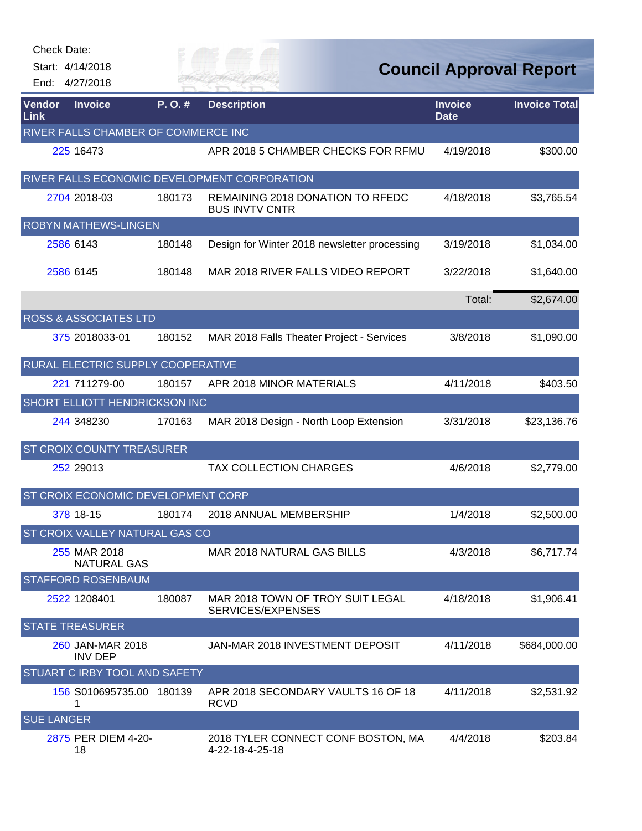| <b>Check Date:</b> |                                     |        |                                                           |                               |                                |
|--------------------|-------------------------------------|--------|-----------------------------------------------------------|-------------------------------|--------------------------------|
|                    | Start: 4/14/2018                    |        | Sitey of                                                  |                               | <b>Council Approval Report</b> |
|                    | End: 4/27/2018                      |        | <b>JER FA</b>                                             |                               |                                |
| Vendor<br>Link     | <b>Invoice</b>                      | P.O.#  | <b>Description</b>                                        | <b>Invoice</b><br><b>Date</b> | <b>Invoice Total</b>           |
|                    | RIVER FALLS CHAMBER OF COMMERCE INC |        |                                                           |                               |                                |
|                    | 225 16473                           |        | APR 2018 5 CHAMBER CHECKS FOR RFMU                        | 4/19/2018                     | \$300.00                       |
|                    |                                     |        | RIVER FALLS ECONOMIC DEVELOPMENT CORPORATION              |                               |                                |
|                    | 2704 2018-03                        | 180173 | REMAINING 2018 DONATION TO RFEDC<br><b>BUS INVTV CNTR</b> | 4/18/2018                     | \$3,765.54                     |
|                    | <b>ROBYN MATHEWS-LINGEN</b>         |        |                                                           |                               |                                |
|                    | 2586 6143                           | 180148 | Design for Winter 2018 newsletter processing              | 3/19/2018                     | \$1,034.00                     |
|                    | 2586 6145                           | 180148 | MAR 2018 RIVER FALLS VIDEO REPORT                         | 3/22/2018                     | \$1,640.00                     |
|                    |                                     |        |                                                           | Total:                        | \$2,674.00                     |
|                    | <b>ROSS &amp; ASSOCIATES LTD</b>    |        |                                                           |                               |                                |
|                    | 375 2018033-01                      | 180152 | MAR 2018 Falls Theater Project - Services                 | 3/8/2018                      | \$1,090.00                     |
|                    | RURAL ELECTRIC SUPPLY COOPERATIVE   |        |                                                           |                               |                                |
|                    | 221 711279-00                       | 180157 | APR 2018 MINOR MATERIALS                                  | 4/11/2018                     | \$403.50                       |
|                    | SHORT ELLIOTT HENDRICKSON INC       |        |                                                           |                               |                                |
|                    | 244 348230                          | 170163 | MAR 2018 Design - North Loop Extension                    | 3/31/2018                     | \$23,136.76                    |
|                    | ST CROIX COUNTY TREASURER           |        |                                                           |                               |                                |
|                    | 252 29013                           |        | <b>TAX COLLECTION CHARGES</b>                             | 4/6/2018                      | \$2,779.00                     |
|                    | ST CROIX ECONOMIC DEVELOPMENT CORP  |        |                                                           |                               |                                |
|                    | 378 18-15                           | 180174 | 2018 ANNUAL MEMBERSHIP                                    | 1/4/2018                      | \$2,500.00                     |
|                    | ST CROIX VALLEY NATURAL GAS CO      |        |                                                           |                               |                                |
|                    | 255 MAR 2018<br><b>NATURAL GAS</b>  |        | MAR 2018 NATURAL GAS BILLS                                | 4/3/2018                      | \$6,717.74                     |
|                    | <b>STAFFORD ROSENBAUM</b>           |        |                                                           |                               |                                |
|                    | 2522 1208401                        | 180087 | MAR 2018 TOWN OF TROY SUIT LEGAL<br>SERVICES/EXPENSES     | 4/18/2018                     | \$1,906.41                     |
|                    | <b>STATE TREASURER</b>              |        |                                                           |                               |                                |
|                    | 260 JAN-MAR 2018<br><b>INV DEP</b>  |        | JAN-MAR 2018 INVESTMENT DEPOSIT                           | 4/11/2018                     | \$684,000.00                   |
|                    | STUART C IRBY TOOL AND SAFETY       |        |                                                           |                               |                                |
|                    | 156 S010695735.00<br>1              | 180139 | APR 2018 SECONDARY VAULTS 16 OF 18<br><b>RCVD</b>         | 4/11/2018                     | \$2,531.92                     |
| <b>SUE LANGER</b>  |                                     |        |                                                           |                               |                                |
|                    | 2875 PER DIEM 4-20-<br>18           |        | 2018 TYLER CONNECT CONF BOSTON, MA<br>4-22-18-4-25-18     | 4/4/2018                      | \$203.84                       |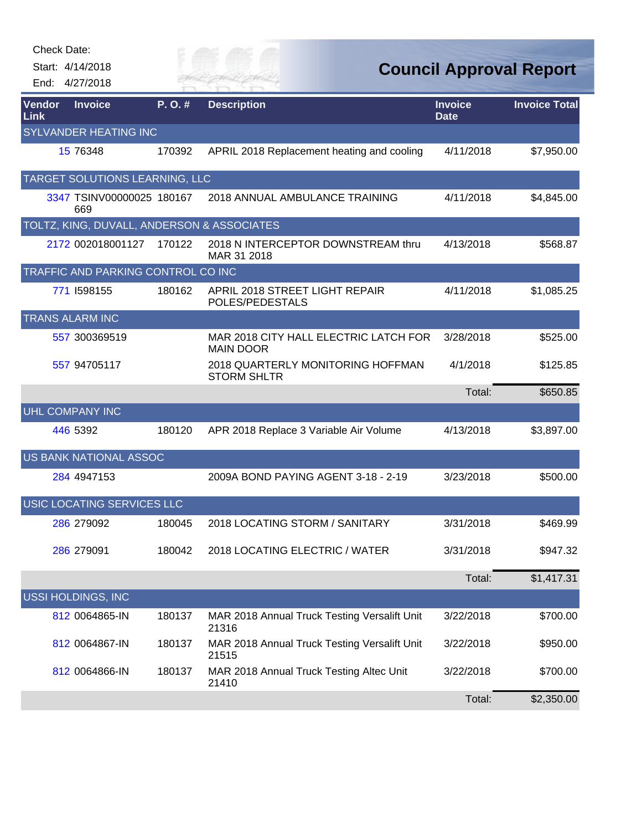|                | <b>Check Date:</b>                         |        |                                                           |                               |                                |
|----------------|--------------------------------------------|--------|-----------------------------------------------------------|-------------------------------|--------------------------------|
|                | Start: 4/14/2018                           |        |                                                           |                               | <b>Council Approval Report</b> |
|                | End: 4/27/2018                             |        |                                                           |                               |                                |
| Vendor<br>Link | <b>Invoice</b>                             | P. O.# | <b>Description</b>                                        | <b>Invoice</b><br><b>Date</b> | <b>Invoice Total</b>           |
|                | <b>SYLVANDER HEATING INC</b>               |        |                                                           |                               |                                |
|                | 15 76348                                   | 170392 | APRIL 2018 Replacement heating and cooling                | 4/11/2018                     | \$7,950.00                     |
|                | TARGET SOLUTIONS LEARNING, LLC             |        |                                                           |                               |                                |
|                | 3347 TSINV00000025 180167<br>669           |        | 2018 ANNUAL AMBULANCE TRAINING                            | 4/11/2018                     | \$4,845.00                     |
|                | TOLTZ, KING, DUVALL, ANDERSON & ASSOCIATES |        |                                                           |                               |                                |
|                | 2172 002018001127                          | 170122 | 2018 N INTERCEPTOR DOWNSTREAM thru<br>MAR 31 2018         | 4/13/2018                     | \$568.87                       |
|                | TRAFFIC AND PARKING CONTROL CO INC         |        |                                                           |                               |                                |
|                | 771 I598155                                | 180162 | APRIL 2018 STREET LIGHT REPAIR<br>POLES/PEDESTALS         | 4/11/2018                     | \$1,085.25                     |
|                | <b>TRANS ALARM INC</b>                     |        |                                                           |                               |                                |
|                | 557 300369519                              |        | MAR 2018 CITY HALL ELECTRIC LATCH FOR<br><b>MAIN DOOR</b> | 3/28/2018                     | \$525.00                       |
|                | 557 94705117                               |        | 2018 QUARTERLY MONITORING HOFFMAN<br><b>STORM SHLTR</b>   | 4/1/2018                      | \$125.85                       |
|                |                                            |        |                                                           | Total:                        | \$650.85                       |
|                | <b>UHL COMPANY INC</b>                     |        |                                                           |                               |                                |
|                | 446 5392                                   | 180120 | APR 2018 Replace 3 Variable Air Volume                    | 4/13/2018                     | \$3,897.00                     |
|                | <b>US BANK NATIONAL ASSOC</b>              |        |                                                           |                               |                                |
|                | 284 4947153                                |        | 2009A BOND PAYING AGENT 3-18 - 2-19                       | 3/23/2018                     | \$500.00                       |
|                | USIC LOCATING SERVICES LLC                 |        |                                                           |                               |                                |
|                | 286 279092                                 | 180045 | 2018 LOCATING STORM / SANITARY                            | 3/31/2018                     | \$469.99                       |
|                | 286 279091                                 | 180042 | 2018 LOCATING ELECTRIC / WATER                            | 3/31/2018                     | \$947.32                       |
|                |                                            |        |                                                           | Total:                        | \$1,417.31                     |
|                | <b>USSI HOLDINGS, INC</b>                  |        |                                                           |                               |                                |
|                | 812 0064865-IN                             | 180137 | MAR 2018 Annual Truck Testing Versalift Unit<br>21316     | 3/22/2018                     | \$700.00                       |
|                | 812 0064867-IN                             | 180137 | MAR 2018 Annual Truck Testing Versalift Unit<br>21515     | 3/22/2018                     | \$950.00                       |
|                | 812 0064866-IN                             | 180137 | MAR 2018 Annual Truck Testing Altec Unit<br>21410         | 3/22/2018                     | \$700.00                       |
|                |                                            |        |                                                           | Total:                        | \$2,350.00                     |